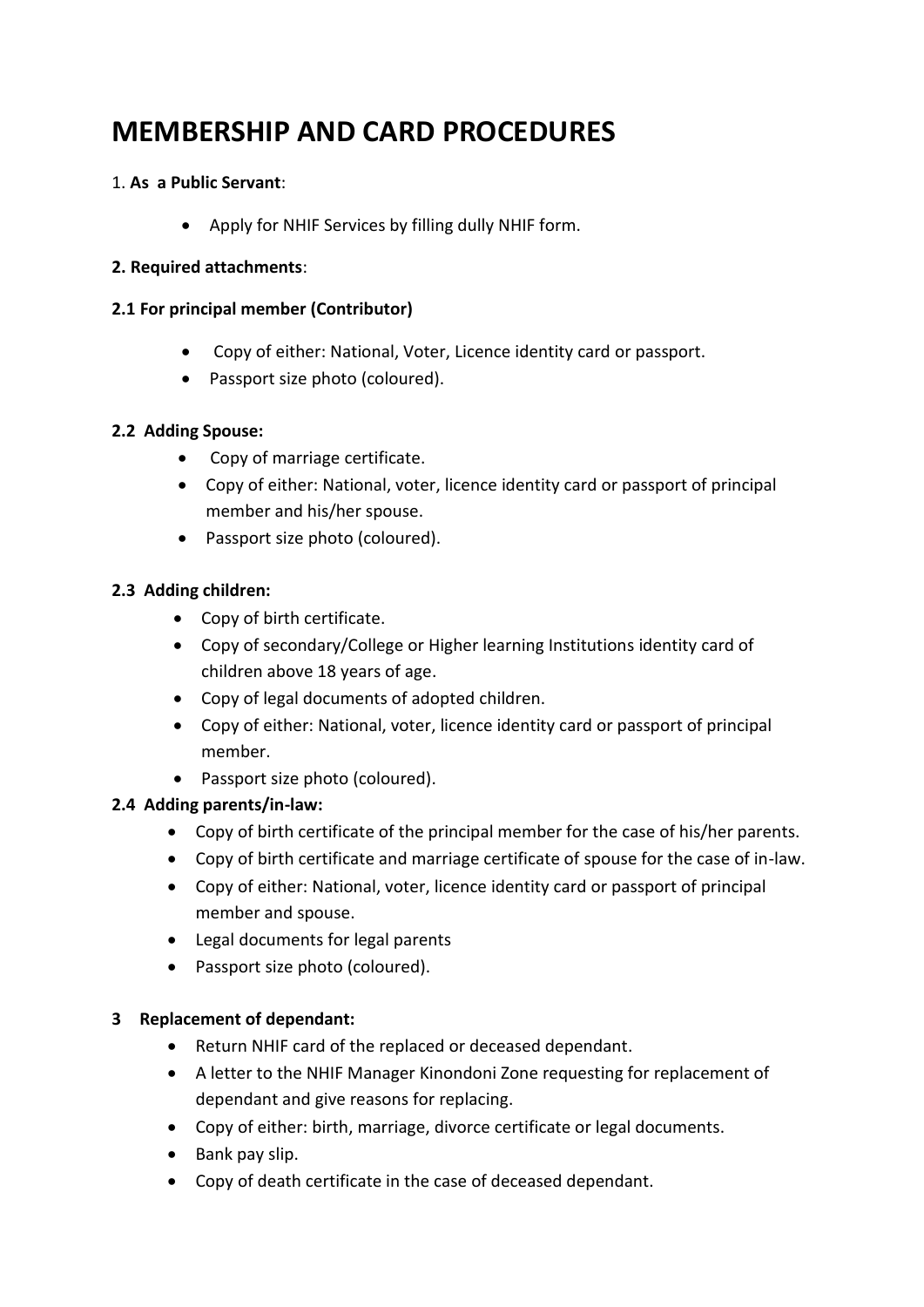# **MEMBERSHIP AND CARD PROCEDURES**

#### 1. **As a Public Servant**:

• Apply for NHIF Services by filling dully NHIF form.

#### **2. Required attachments**:

### **2.1 For principal member (Contributor)**

- Copy of either: National, Voter, Licence identity card or passport.
- Passport size photo (coloured).

### **2.2 Adding Spouse:**

- Copy of marriage certificate.
- Copy of either: National, voter, licence identity card or passport of principal member and his/her spouse.
- Passport size photo (coloured).

# **2.3 Adding children:**

- Copy of birth certificate.
- Copy of secondary/College or Higher learning Institutions identity card of children above 18 years of age.
- Copy of legal documents of adopted children.
- Copy of either: National, voter, licence identity card or passport of principal member.
- Passport size photo (coloured).

# **2.4 Adding parents/in-law:**

- Copy of birth certificate of the principal member for the case of his/her parents.
- Copy of birth certificate and marriage certificate of spouse for the case of in-law.
- Copy of either: National, voter, licence identity card or passport of principal member and spouse.
- Legal documents for legal parents
- Passport size photo (coloured).

# **3 Replacement of dependant:**

- Return NHIF card of the replaced or deceased dependant.
- A letter to the NHIF Manager Kinondoni Zone requesting for replacement of dependant and give reasons for replacing.
- Copy of either: birth, marriage, divorce certificate or legal documents.
- Bank pay slip.
- Copy of death certificate in the case of deceased dependant.